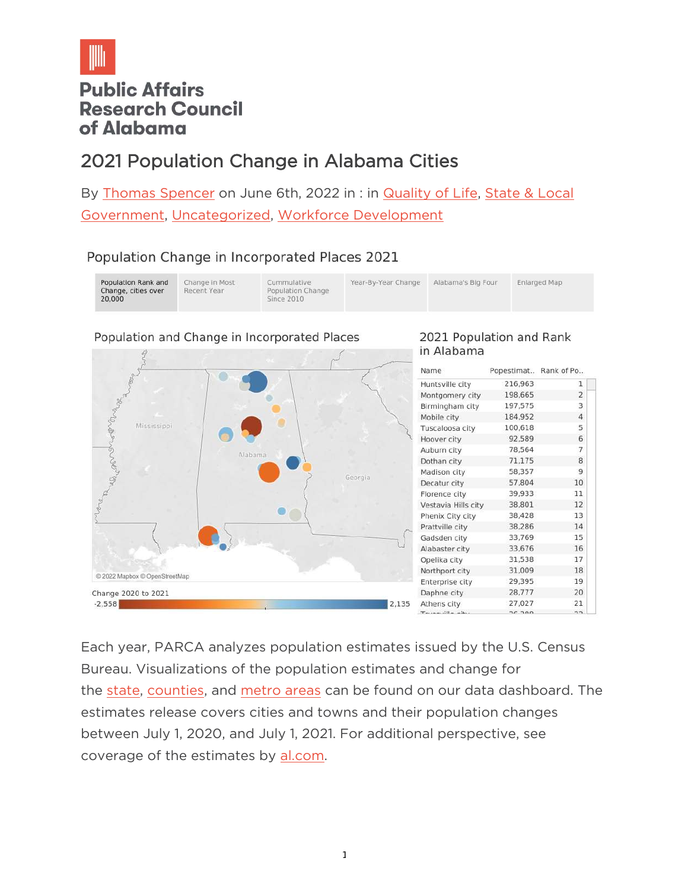

# **Public Affairs Research Council** of Alabama

# 2021 Population Change in Alabama Cities

By [Thomas Spencer](https://parcalabama.org/author/tspencer/) on June 6th, 2022 in : in **Quality of Life**, State & Local [Government,](https://parcalabama.org/category/state-local-government/) [Uncategorized,](https://parcalabama.org/category/uncategorized/) [Workforce Development](https://parcalabama.org/category/workforce-development/)

# Population Change in Incorporated Places 2021

| Population Rank and<br>Change, cities over<br>20,000 | Change in Most<br>Recent Year | Cummulative<br>Population Change<br>Since 2010 | Year-By-Year Change | Alabama's Big Four | <b>Enlarged Map</b> |
|------------------------------------------------------|-------------------------------|------------------------------------------------|---------------------|--------------------|---------------------|
|------------------------------------------------------|-------------------------------|------------------------------------------------|---------------------|--------------------|---------------------|

#### Population and Change in Incorporated Places



#### 2021 Population and Rank in Alabama

| Name                                         | Popestimat Rank of Po |                |
|----------------------------------------------|-----------------------|----------------|
| Huntsville city                              | 216,963               | 1              |
| Montgomery city                              | 198,665               | $\overline{2}$ |
| Birmingham city                              | 197,575               | 3              |
| Mobile city                                  | 184,952               | 4              |
| Tuscaloosa city                              | 100,618               | 5              |
| Hoover city                                  | 92,589                | 6              |
| Auburn city                                  | 78,564                | 7              |
| Dothan city                                  | 71,175                | 8              |
| Madison city                                 | 58,357                | 9              |
| Decatur city                                 | 57,804                | 10             |
| Florence city                                | 39,933                | 11             |
| Vestavia Hills city                          | 38,801                | 12             |
| Phenix City city                             | 38,428                | 13             |
| Prattville city                              | 38,286                | 14             |
| Gadsden city                                 | 33,769                | 15             |
| Alabaster city                               | 33,676                | 16             |
| Opelika city                                 | 31,538                | 17             |
| Northport city                               | 31,009                | 18             |
| Enterprise city                              | 29,395                | 19             |
| Daphne city                                  | 28,777                | 20             |
| Athens city                                  | 27,027                | 21             |
| $T_{\text{min}}$ and $H_{\text{min}}$ with a | $2e$ 200              | $\sim$         |

Each year, PARCA analyzes population estimates issued by the U.S. Census Bureau. Visualizations of the population estimates and change for the [state,](https://public.tableau.com/views/StatePopulationEstimates2021/U_S_CensusPopulationEstimatesfor2021?:language=en-US&:display_count=n&:origin=viz_share_link) [counties,](https://public.tableau.com/views/AlabamaCountyPopulationEstimatesandChange2021/AlabamaCountiesPopulationEstimatesandChange2021?:language=en-US&:display_count=n&:origin=viz_share_link) and [metro areas](https://public.tableau.com/views/AlabamaMSAPopulationEstimatesandChange2021/AlabamaMSAPopulationEstimatesandChange2021?:language=en-US&:display_count=n&:origin=viz_share_link) can be found on our data dashboard. The estimates release covers cities and towns and their population changes between July 1, 2020, and July 1, 2021. For additional perspective, see coverage of the estimates by [al.com.](https://www.al.com/news/2022/05/here-are-the-2021-population-estimates-for-every-alabama-city-and-town.html)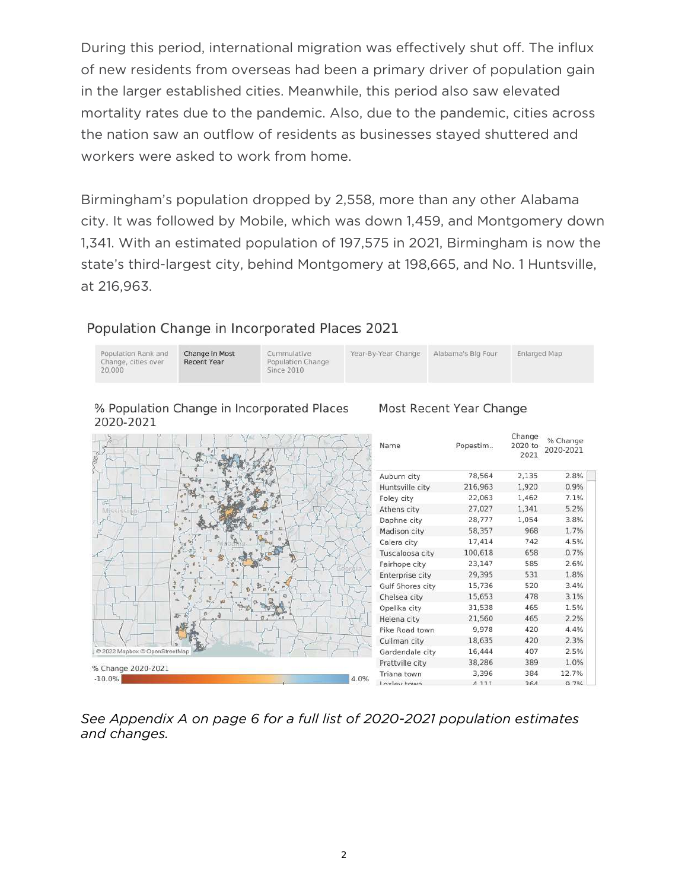During this period, international migration was effectively shut off. The influx of new residents from overseas had been a primary driver of population gain in the larger established cities. Meanwhile, this period also saw elevated mortality rates due to the pandemic. Also, due to the pandemic, cities across the nation saw an outflow of residents as businesses stayed shuttered and workers were asked to work from home.

Birmingham's population dropped by 2,558, more than any other Alabama city. It was followed by Mobile, which was down 1,459, and Montgomery down 1,341. With an estimated population of 197,575 in 2021, Birmingham is now the state's third-largest city, behind Montgomery at 198,665, and No. 1 Huntsville, at 216,963.

#### Population Change in Incorporated Places 2021

| Population Rank and<br>Change, cities over<br>20,000 | Change in Most<br>Recent Year | Cummulative<br>Population Change<br>Since 2010 | Year-By-Year Change | Alabama's Big Four | Enlarged Map |
|------------------------------------------------------|-------------------------------|------------------------------------------------|---------------------|--------------------|--------------|
|                                                      |                               |                                                |                     |                    |              |

% Population Change in Incorporated Places 2020-2021

## Most Recent Year Change

|                               | Name             | Popestim | Change<br>2020 to<br>2021 | % Change<br>2020-2021 |
|-------------------------------|------------------|----------|---------------------------|-----------------------|
|                               | Auburn city      | 78,564   | 2,135                     | 2.8%                  |
|                               | Huntsville city  | 216,963  | 1,920                     | 0.9%                  |
| ö÷                            | Foley city       | 22,063   | 1,462                     | 7.1%                  |
| Mi                            | Athens city      | 27,027   | 1,341                     | 5.2%                  |
|                               | Daphne city      | 28,777   | 1,054                     | 3.8%                  |
|                               | Madison city     | 58,357   | 968                       | 1.7%                  |
|                               | Calera city      | 17,414   | 742                       | 4.5%                  |
|                               | Tuscaloosa city  | 100,618  | 658                       | 0.7%                  |
|                               | Fairhope city    | 23,147   | 585                       | 2.6%                  |
|                               | Enterprise city  | 29,395   | 531                       | 1.8%                  |
| ÷<br>w                        | Gulf Shores city | 15,736   | 520                       | 3.4%                  |
| n                             | Chelsea city     | 15,653   | 478                       | 3.1%                  |
|                               | Opelika city     | 31,538   | 465                       | 1.5%                  |
| <b>Ar</b>                     | Helena city      | 21,560   | 465                       | 2.2%                  |
|                               | Pike Road town   | 9,978    | 420                       | 4.4%                  |
|                               | Cullman city     | 18,635   | 420                       | 2.3%                  |
| @ 2022 Mapbox @ OpenStreetMap | Gardendale city  | 16,444   | 407                       | 2.5%                  |
|                               | Prattville city  | 38,286   | 389                       | 1.0%                  |
| % Change 2020-2021            | Triana town      | 3,396    | 384                       | 12.7%                 |
| 4.0%<br>$-10.0\%$             | Loylow town      | $A$ 111  | 26A                       | 0.70/                 |

#### *See Appendix A on page 6 for a full list of 2020-2021 population estimates and changes.*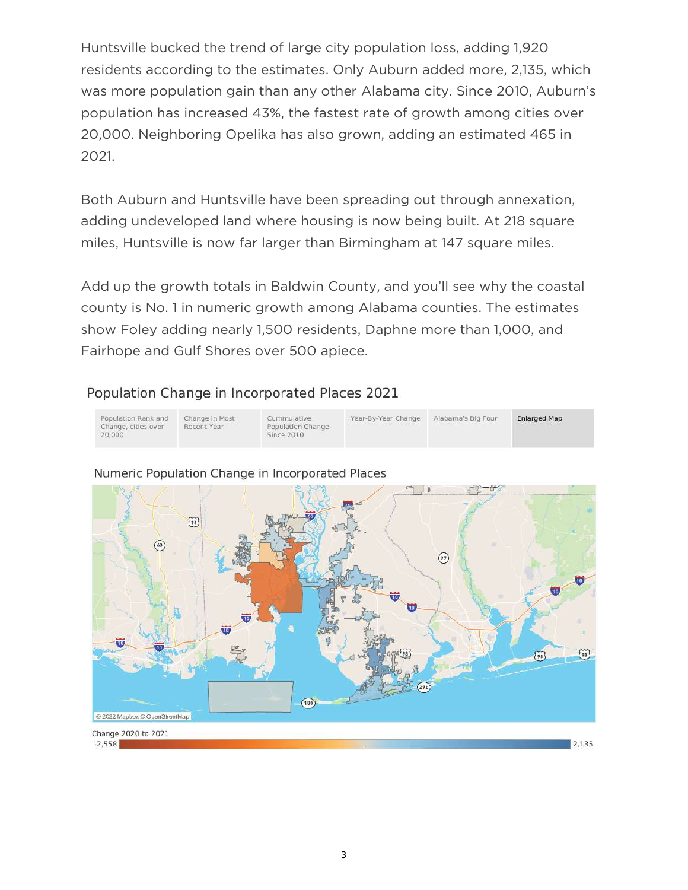Huntsville bucked the trend of large city population loss, adding 1,920 residents according to the estimates. Only Auburn added more, 2,135, which was more population gain than any other Alabama city. Since 2010, Auburn's population has increased 43%, the fastest rate of growth among cities over 20,000. Neighboring Opelika has also grown, adding an estimated 465 in 2021.

Both Auburn and Huntsville have been spreading out through annexation, adding undeveloped land where housing is now being built. At 218 square miles, Huntsville is now far larger than Birmingham at 147 square miles.

Add up the growth totals in Baldwin County, and you'll see why the coastal county is No. 1 in numeric growth among Alabama counties. The estimates show Foley adding nearly 1,500 residents, Daphne more than 1,000, and Fairhope and Gulf Shores over 500 apiece.

### Population Change in Incorporated Places 2021





#### Numeric Population Change in Incorporated Places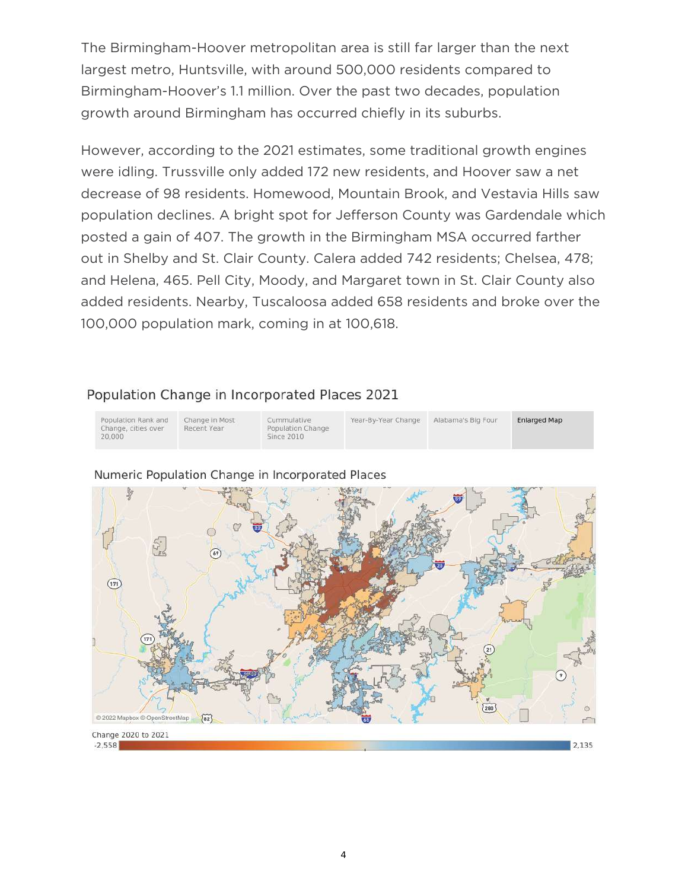The Birmingham-Hoover metropolitan area is still far larger than the next largest metro, Huntsville, with around 500,000 residents compared to Birmingham-Hoover's 1.1 million. Over the past two decades, population growth around Birmingham has occurred chiefly in its suburbs.

However, according to the 2021 estimates, some traditional growth engines were idling. Trussville only added 172 new residents, and Hoover saw a net decrease of 98 residents. Homewood, Mountain Brook, and Vestavia Hills saw population declines. A bright spot for Jefferson County was Gardendale which posted a gain of 407. The growth in the Birmingham MSA occurred farther out in Shelby and St. Clair County. Calera added 742 residents; Chelsea, 478; and Helena, 465. Pell City, Moody, and Margaret town in St. Clair County also added residents. Nearby, Tuscaloosa added 658 residents and broke over the 100,000 population mark, coming in at 100,618.

#### Population Change in Incorporated Places 2021





#### Numeric Population Change in Incorporated Places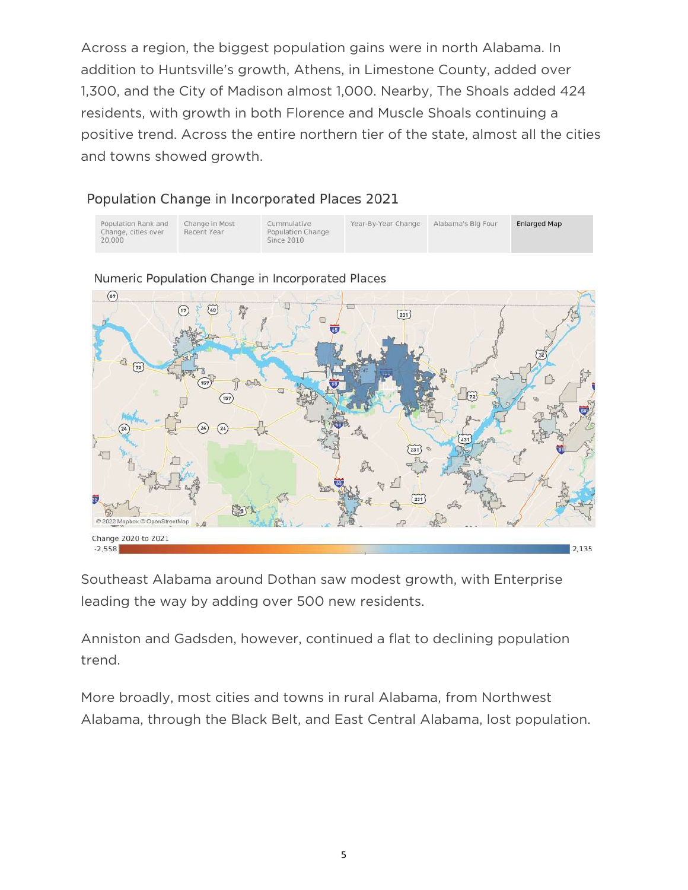Across a region, the biggest population gains were in north Alabama. In addition to Huntsville's growth, Athens, in Limestone County, added over 1,300, and the City of Madison almost 1,000. Nearby, The Shoals added 424 residents, with growth in both Florence and Muscle Shoals continuing a positive trend. Across the entire northern tier of the state, almost all the cities and towns showed growth.

## Population Change in Incorporated Places 2021

| Population Rank and<br>Change, cities over<br>20.000 | Change in Most<br>Recent Year | Cummulative<br>Population Change<br>Since 2010 | Year-By-Year Change | Alabama's Big Four | Enlarged Map |  |
|------------------------------------------------------|-------------------------------|------------------------------------------------|---------------------|--------------------|--------------|--|
|------------------------------------------------------|-------------------------------|------------------------------------------------|---------------------|--------------------|--------------|--|



Numeric Population Change in Incorporated Places

Southeast Alabama around Dothan saw modest growth, with Enterprise leading the way by adding over 500 new residents.

Anniston and Gadsden, however, continued a flat to declining population trend.

More broadly, most cities and towns in rural Alabama, from Northwest Alabama, through the Black Belt, and East Central Alabama, lost population.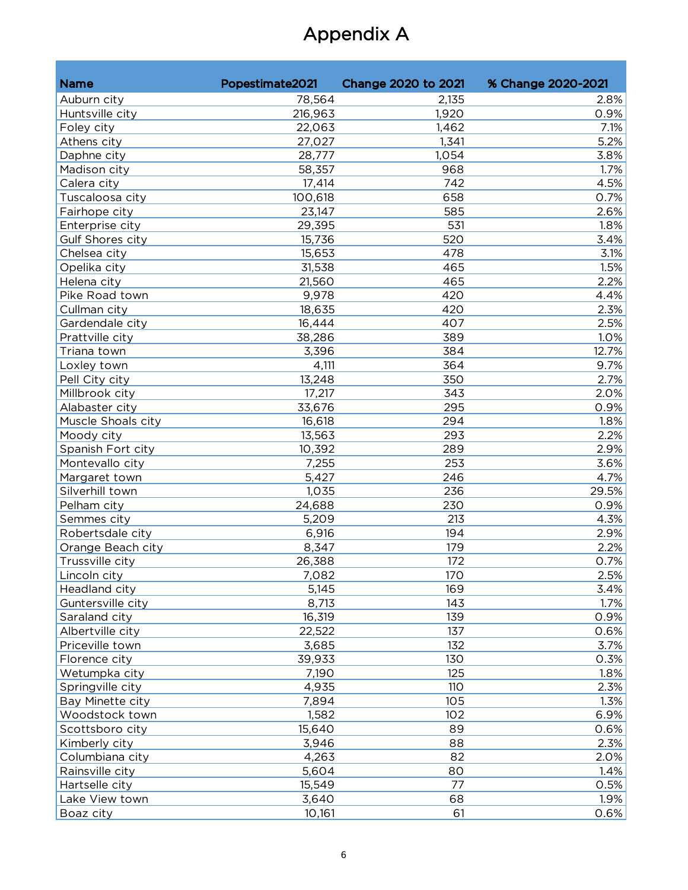# Appendix A

| <b>Name</b>        | Popestimate2021 | Change 2020 to 2021 | % Change 2020-2021 |
|--------------------|-----------------|---------------------|--------------------|
| Auburn city        | 78,564          | 2,135               | 2.8%               |
| Huntsville city    | 216,963         | 1,920               | 0.9%               |
| Foley city         | 22,063          | 1,462               | 7.1%               |
| Athens city        | 27,027          | 1,341               | 5.2%               |
| Daphne city        | 28,777          | 1,054               | 3.8%               |
| Madison city       | 58,357          | 968                 | 1.7%               |
| Calera city        | 17,414          | 742                 | 4.5%               |
| Tuscaloosa city    | 100,618         | 658                 | 0.7%               |
| Fairhope city      | 23,147          | 585                 | 2.6%               |
| Enterprise city    | 29,395          | 531                 | 1.8%               |
| Gulf Shores city   | 15,736          | 520                 | 3.4%               |
| Chelsea city       | 15,653          | 478                 | 3.1%               |
| Opelika city       | 31,538          | 465                 | 1.5%               |
| Helena city        | 21,560          | 465                 | 2.2%               |
| Pike Road town     | 9,978           | 420                 | 4.4%               |
| Cullman city       | 18,635          | 420                 | 2.3%               |
| Gardendale city    | 16,444          | 407                 | 2.5%               |
| Prattville city    | 38,286          | 389                 | 1.0%               |
| Triana town        | 3,396           | 384                 | 12.7%              |
| Loxley town        | 4,111           | 364                 | 9.7%               |
| Pell City city     | 13,248          | 350                 | 2.7%               |
| Millbrook city     | 17,217          | 343                 | 2.0%               |
| Alabaster city     | 33,676          | 295                 | 0.9%               |
| Muscle Shoals city | 16,618          | 294                 | 1.8%               |
| Moody city         | 13,563          | 293                 | 2.2%               |
| Spanish Fort city  | 10,392          | 289                 | 2.9%               |
| Montevallo city    | 7,255           | 253                 | 3.6%               |
| Margaret town      | 5,427           | 246                 | 4.7%               |
| Silverhill town    | 1,035           | 236                 | 29.5%              |
| Pelham city        | 24,688          | 230                 | 0.9%               |
| Semmes city        | 5,209           | 213                 | 4.3%               |
| Robertsdale city   | 6,916           | 194                 | 2.9%               |
| Orange Beach city  | 8,347           | 179                 | 2.2%               |
| Trussville city    | 26,388          | 172                 | 0.7%               |
| Lincoln city       | 7,082           | 170                 | 2.5%               |
| Headland city      | 5,145           | 169                 | 3.4%               |
| Guntersville city  | 8,713           | 143                 | 1.7%               |
| Saraland city      | 16,319          | 139                 | 0.9%               |
| Albertville city   | 22,522          | 137                 | 0.6%               |
| Priceville town    | 3,685           | 132                 | 3.7%               |
| Florence city      | 39,933          | 130                 | 0.3%               |
| Wetumpka city      | 7,190           | 125                 | 1.8%               |
| Springville city   | 4,935           | 110                 | 2.3%               |
| Bay Minette city   | 7,894           | 105                 | 1.3%               |
| Woodstock town     | 1,582           | 102                 | 6.9%               |
| Scottsboro city    | 15,640          | 89                  | 0.6%               |
| Kimberly city      | 3,946           | 88                  | 2.3%               |
| Columbiana city    | 4,263           | 82                  | 2.0%               |
| Rainsville city    | 5,604           | 80                  | 1.4%               |
| Hartselle city     | 15,549          | 77                  | 0.5%               |
| Lake View town     | 3,640           | 68                  | 1.9%               |
| Boaz city          | 10,161          | 61                  | 0.6%               |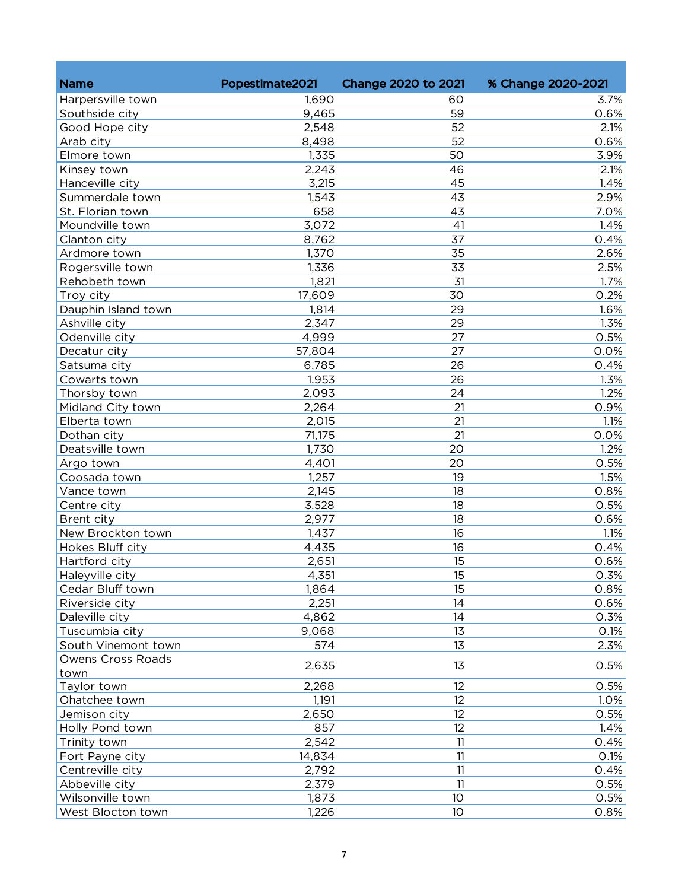| <b>Name</b>                    | Popestimate2021 | <b>Change 2020 to 2021</b> | % Change 2020-2021 |
|--------------------------------|-----------------|----------------------------|--------------------|
| Harpersville town              | 1,690           | 60                         | 3.7%               |
| Southside city                 | 9,465           | 59                         | 0.6%               |
| Good Hope city                 | 2,548           | 52                         | 2.1%               |
| Arab city                      | 8,498           | 52                         | 0.6%               |
| Elmore town                    | 1,335           | 50                         | 3.9%               |
|                                | 2,243           | 46                         | 2.1%               |
| Kinsey town<br>Hanceville city | 3,215           | 45                         | 1.4%               |
| Summerdale town                |                 | 43                         |                    |
| St. Florian town               | 1,543<br>658    | 43                         | 2.9%<br>7.0%       |
| Moundville town                |                 | 41                         |                    |
|                                | 3,072           |                            | 1.4%               |
| Clanton city                   | 8,762           | 37                         | 0.4%               |
| Ardmore town                   | 1,370           | 35                         | 2.6%               |
| Rogersville town               | 1,336           | 33                         | 2.5%               |
| Rehobeth town                  | 1,821           | 31                         | 1.7%               |
| Troy city                      | 17,609          | 30                         | 0.2%               |
| Dauphin Island town            | 1,814           | 29                         | 1.6%               |
| Ashville city                  | 2,347           | 29                         | 1.3%               |
| Odenville city                 | 4,999           | 27                         | 0.5%               |
| Decatur city                   | 57,804          | 27                         | 0.0%               |
| Satsuma city                   | 6,785           | 26                         | 0.4%               |
| Cowarts town                   | 1,953           | 26                         | 1.3%               |
| Thorsby town                   | 2,093           | 24                         | 1.2%               |
| Midland City town              | 2,264           | 21                         | 0.9%               |
| Elberta town                   | 2,015           | 21                         | 1.1%               |
| Dothan city                    | 71,175          | 21                         | 0.0%               |
| Deatsville town                | 1,730           | 20                         | 1.2%               |
| Argo town                      | 4,401           | 20                         | 0.5%               |
| Coosada town                   | 1,257           | 19                         | 1.5%               |
| Vance town                     | 2,145           | 18                         | 0.8%               |
| Centre city                    | 3,528           | 18                         | 0.5%               |
| Brent city                     | 2,977           | 18                         | 0.6%               |
| New Brockton town              | 1,437           | 16                         | 1.1%               |
| Hokes Bluff city               | 4,435           | 16                         | 0.4%               |
| Hartford city                  | 2,651           | 15                         | 0.6%               |
| Haleyville city                | 4,351           | 15                         | 0.3%               |
| Cedar Bluff town               | 1,864           | 15                         | 0.8%               |
| Riverside city                 | 2,251           | 14                         | 0.6%               |
| Daleville city                 | 4,862           | 14                         | 0.3%               |
| Tuscumbia city                 | 9,068           | 13                         | 0.1%               |
| South Vinemont town            | 574             | 13                         | 2.3%               |
| Owens Cross Roads              |                 | 13                         | 0.5%               |
| town                           | 2,635           |                            |                    |
| Taylor town                    | 2,268           | 12                         | 0.5%               |
| Ohatchee town                  | 1,191           | 12                         | 1.0%               |
| Jemison city                   | 2,650           | 12                         | 0.5%               |
| Holly Pond town                | 857             | 12                         | 1.4%               |
| Trinity town                   | 2,542           | 11                         | 0.4%               |
| Fort Payne city                | 14,834          | 11                         | 0.1%               |
| Centreville city               | 2,792           | 11                         | 0.4%               |
| Abbeville city                 | 2,379           | 11                         | 0.5%               |
| Wilsonville town               | 1,873           | 10 <sup>°</sup>            | 0.5%               |
| West Blocton town              | 1,226           | 10 <sup>°</sup>            | 0.8%               |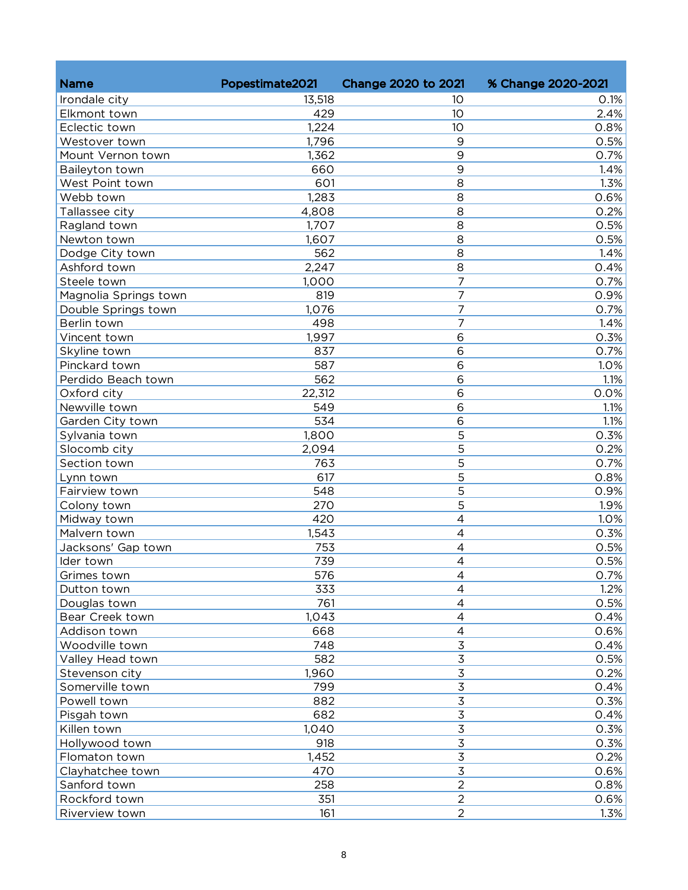| <b>Name</b>           |                 | <b>Change 2020 to 2021</b> |                    |
|-----------------------|-----------------|----------------------------|--------------------|
|                       | Popestimate2021 |                            | % Change 2020-2021 |
| Irondale city         | 13,518          | 10                         | 0.1%               |
| Elkmont town          | 429             | 10                         | 2.4%               |
| Eclectic town         | 1,224           | 10                         | 0.8%               |
| Westover town         | 1,796           | 9                          | 0.5%               |
| Mount Vernon town     | 1,362           | 9                          | 0.7%               |
| Baileyton town        | 660             | 9                          | 1.4%               |
| West Point town       | 601             | 8                          | 1.3%               |
| Webb town             | 1,283           | 8                          | 0.6%               |
| Tallassee city        | 4,808           | 8                          | 0.2%               |
| Ragland town          | 1,707           | 8                          | 0.5%               |
| Newton town           | 1,607           | 8                          | 0.5%               |
| Dodge City town       | 562             | 8                          | 1.4%               |
| Ashford town          | 2,247           | 8                          | 0.4%               |
| Steele town           | 1,000           | $\overline{7}$             | 0.7%               |
| Magnolia Springs town | 819             | 7                          | 0.9%               |
| Double Springs town   | 1,076           | 7                          | 0.7%               |
| Berlin town           | 498             | $\overline{7}$             | 1.4%               |
| Vincent town          | 1,997           | 6                          | 0.3%               |
| Skyline town          | 837             | 6                          | 0.7%               |
| Pinckard town         | 587             | 6                          | 1.0%               |
| Perdido Beach town    | 562             | 6                          | 1.1%               |
| Oxford city           | 22,312          | 6                          | 0.0%               |
| Newville town         | 549             | 6                          | 1.1%               |
| Garden City town      | 534             | 6                          | 1.1%               |
| Sylvania town         | 1,800           | 5                          | 0.3%               |
| Slocomb city          | 2,094           | 5                          | 0.2%               |
| Section town          | 763             | 5                          | 0.7%               |
| Lynn town             | 617             | 5                          | 0.8%               |
| Fairview town         | 548             | 5                          | 0.9%               |
| Colony town           | 270             | 5                          | 1.9%               |
| Midway town           | 420             | 4                          | 1.0%               |
| Malvern town          | 1,543           | 4                          | 0.3%               |
| Jacksons' Gap town    | 753             | 4                          | 0.5%               |
| Ider town             | 739             | 4                          | 0.5%               |
| Grimes town           | 576             | 4                          | 0.7%               |
| Dutton town           | 333             | 4                          | 1.2%               |
| Douglas town          | 761             | 4                          | 0.5%               |
| Bear Creek town       | 1,043           | 4                          | 0.4%               |
| Addison town          | 668             | 4                          | 0.6%               |
| Woodville town        | 748             | 3                          | 0.4%               |
| Valley Head town      | 582             | $\overline{3}$             | 0.5%               |
| Stevenson city        | 1,960           | $\overline{3}$             | 0.2%               |
| Somerville town       | 799             | $\overline{3}$             | 0.4%               |
| Powell town           | 882             | $\overline{3}$             | 0.3%               |
| Pisgah town           | 682             | $\overline{3}$             | 0.4%               |
| Killen town           | 1,040           | $\overline{3}$             | 0.3%               |
| Hollywood town        | 918             | $\overline{3}$             | 0.3%               |
| Flomaton town         | 1,452           | $\overline{3}$             | 0.2%               |
| Clayhatchee town      | 470             | 3                          | 0.6%               |
| Sanford town          | 258             | $\overline{2}$             | 0.8%               |
| Rockford town         | 351             | $\overline{2}$             | 0.6%               |
| Riverview town        | 161             | $\overline{2}$             | 1.3%               |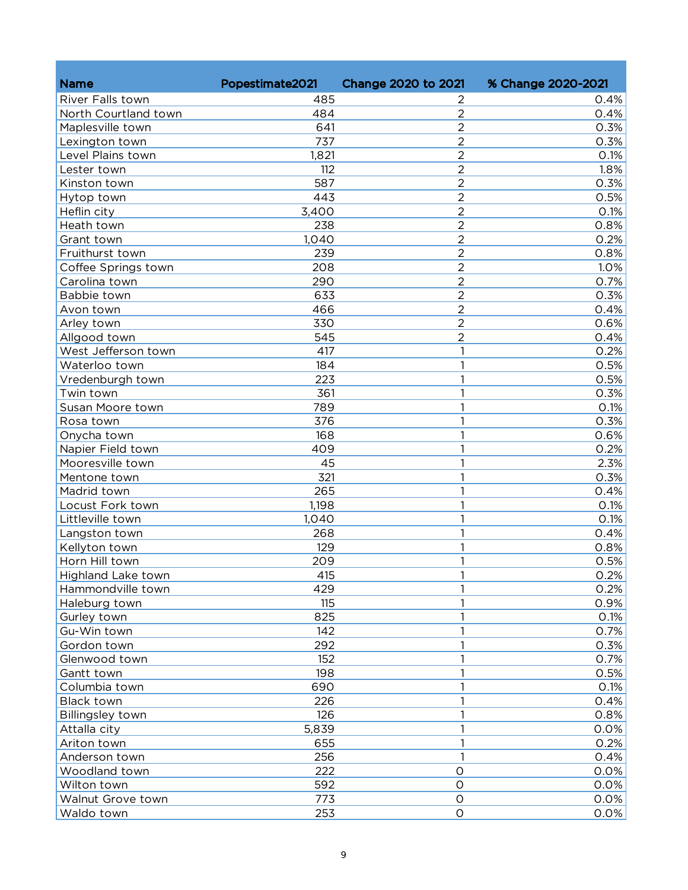| <b>Name</b>             | Popestimate2021 | <b>Change 2020 to 2021</b>       | % Change 2020-2021 |
|-------------------------|-----------------|----------------------------------|--------------------|
|                         |                 |                                  |                    |
| River Falls town        | 485             | 2                                | 0.4%               |
| North Courtland town    | 484             | $\overline{2}$<br>$\overline{2}$ | 0.4%               |
| Maplesville town        | 641             | $\overline{2}$                   | 0.3%               |
| Lexington town          | 737             |                                  | 0.3%               |
| Level Plains town       | 1,821           | $\overline{2}$                   | 0.1%               |
| Lester town             | 112             | $\overline{2}$                   | 1.8%               |
| Kinston town            | 587             | $\overline{2}$                   | 0.3%               |
| Hytop town              | 443             | $\overline{2}$                   | 0.5%               |
| Heflin city             | 3,400           | $\overline{2}$                   | 0.1%               |
| Heath town              | 238             | $\overline{2}$                   | 0.8%               |
| Grant town              | 1,040           | $\overline{2}$                   | 0.2%               |
| Fruithurst town         | 239             | $\overline{2}$                   | 0.8%               |
| Coffee Springs town     | 208             | $\overline{2}$                   | 1.0%               |
| Carolina town           | 290             | $\overline{2}$                   | 0.7%               |
| Babbie town             | 633             | $\overline{2}$                   | 0.3%               |
| Avon town               | 466             | $\overline{2}$                   | 0.4%               |
| Arley town              | 330             | $\overline{2}$                   | 0.6%               |
| Allgood town            | 545             | $\overline{2}$                   | 0.4%               |
| West Jefferson town     | 417             | 1                                | 0.2%               |
| Waterloo town           | 184             | 1                                | 0.5%               |
| Vredenburgh town        | 223             | 1                                | 0.5%               |
| Twin town               | 361             | 1                                | 0.3%               |
| Susan Moore town        | 789             | 1                                | 0.1%               |
| Rosa town               | 376             | 1                                | 0.3%               |
| Onycha town             | 168             | 1                                | 0.6%               |
| Napier Field town       | 409             | 1                                | 0.2%               |
| Mooresville town        | 45              | 1                                | 2.3%               |
| Mentone town            | 321             | 1                                | 0.3%               |
| Madrid town             | 265             | 1                                | 0.4%               |
| Locust Fork town        | 1,198           | 1                                | 0.1%               |
| Littleville town        | 1,040           | 1                                | 0.1%               |
| Langston town           | 268             | 1                                | 0.4%               |
| Kellyton town           | 129             | 1                                | 0.8%               |
| Horn Hill town          | 209             | 1                                | 0.5%               |
| Highland Lake town      | 415             |                                  | 0.2%               |
| Hammondville town       | 429             | 1                                | 0.2%               |
| Haleburg town           | 115             | 1                                | 0.9%               |
| Gurley town             | 825             | 1                                | 0.1%               |
| Gu-Win town             | 142             | 1                                | 0.7%               |
| Gordon town             | 292             | 1                                | 0.3%               |
| Glenwood town           | 152             | 1                                | 0.7%               |
| Gantt town              | 198             | 1                                | 0.5%               |
| Columbia town           | 690             | 1                                | 0.1%               |
| Black town              | 226             | 1                                | 0.4%               |
| <b>Billingsley town</b> | 126             | 1                                | 0.8%               |
| Attalla city            | 5,839           | 1                                | 0.0%               |
| Ariton town             | 655             | 1                                | 0.2%               |
| Anderson town           | 256             | 1                                | 0.4%               |
| Woodland town           | 222             | $\circ$                          | 0.0%               |
| Wilton town             | 592             | $\circ$                          | 0.0%               |
| Walnut Grove town       | 773             | $\circ$                          | 0.0%               |
| Waldo town              | 253             | $\circ$                          | 0.0%               |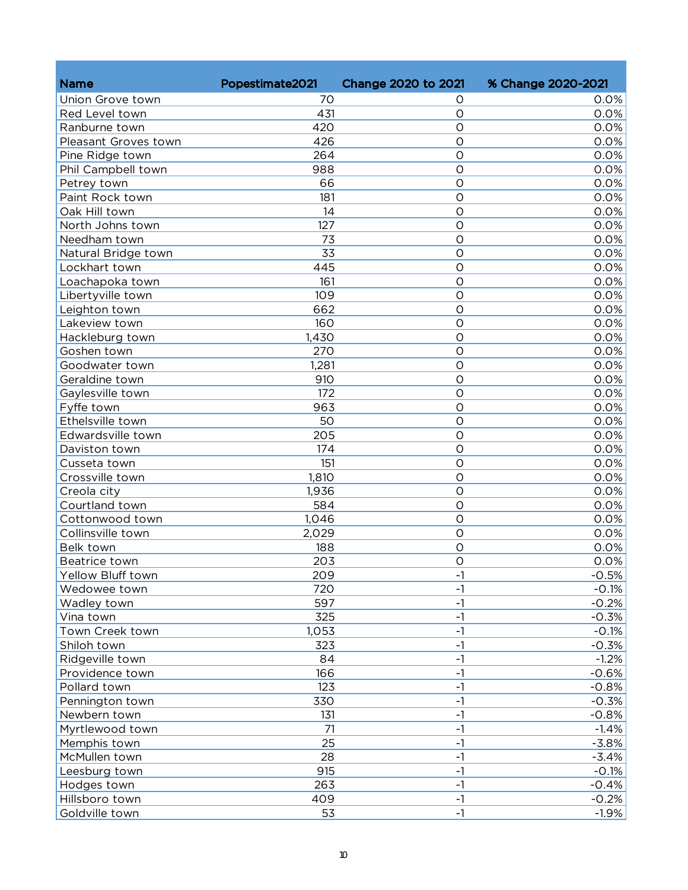| <b>Name</b>          | Popestimate2021 | <b>Change 2020 to 2021</b> | % Change 2020-2021 |
|----------------------|-----------------|----------------------------|--------------------|
|                      |                 |                            |                    |
| Union Grove town     | 70              | Ο<br>$\overline{O}$        | 0.0%               |
| Red Level town       | 431             |                            | 0.0%               |
| Ranburne town        | 420             | $\overline{O}$             | 0.0%               |
| Pleasant Groves town | 426             | $\overline{O}$             | 0.0%               |
| Pine Ridge town      | 264             | $\overline{O}$             | 0.0%               |
| Phil Campbell town   | 988             | $\overline{O}$             | 0.0%               |
| Petrey town          | 66              | $\circ$                    | 0.0%               |
| Paint Rock town      | 181             | $\circ$                    | 0.0%               |
| Oak Hill town        | 14              | $\circ$                    | 0.0%               |
| North Johns town     | 127             | $\circ$                    | 0.0%               |
| Needham town         | 73              | $\circ$                    | 0.0%               |
| Natural Bridge town  | 33              | $\circ$                    | 0.0%               |
| Lockhart town        | 445             | $\circ$                    | 0.0%               |
| Loachapoka town      | 161             | $\circ$                    | 0.0%               |
| Libertyville town    | 109             | $\circ$                    | 0.0%               |
| Leighton town        | 662             | $\overline{O}$             | 0.0%               |
| Lakeview town        | 160             | $\circ$                    | 0.0%               |
| Hackleburg town      | 1,430           | $\overline{O}$             | 0.0%               |
| Goshen town          | 270             | $\overline{O}$             | 0.0%               |
| Goodwater town       | 1,281           | $\overline{O}$             | 0.0%               |
| Geraldine town       | 910             | $\overline{O}$             | 0.0%               |
| Gaylesville town     | 172             | $\circ$                    | 0.0%               |
| Fyffe town           | 963             | $\circ$                    | 0.0%               |
| Ethelsville town     | 50              | $\circ$                    | 0.0%               |
| Edwardsville town    | 205             | $\circ$                    | 0.0%               |
| Daviston town        | 174             | $\overline{O}$             | 0.0%               |
| Cusseta town         | 151             | $\overline{O}$             | 0.0%               |
| Crossville town      | 1,810           | $\overline{O}$             | 0.0%               |
| Creola city          | 1,936           | $\overline{O}$             | 0.0%               |
| Courtland town       | 584             | $\overline{O}$             | 0.0%               |
| Cottonwood town      | 1,046           | $\overline{O}$             | 0.0%               |
| Collinsville town    | 2,029           | $\overline{O}$             | 0.0%               |
| Belk town            | 188             | $\overline{O}$             | 0.0%               |
| Beatrice town        | 203             | $\mathcal{O}$              | 0.0%               |
| Yellow Bluff town    | 209             | $-1$                       | $-0.5%$            |
| Wedowee town         | 720             | $-1$                       | $-0.1%$            |
| Wadley town          | 597             | $-1$                       | $-0.2%$            |
| Vina town            | 325             | $-1$                       | $-0.3%$            |
| Town Creek town      | 1,053           | $-1$                       | $-0.1%$            |
| Shiloh town          | 323             | $-1$                       | $-0.3%$            |
| Ridgeville town      | 84              | $-1$                       | $-1.2%$            |
| Providence town      | 166             | $-1$                       | $-0.6%$            |
| Pollard town         | 123             | $-1$                       | $-0.8%$            |
| Pennington town      | 330             | $-1$                       | $-0.3%$            |
| Newbern town         | 131             | $-1$                       | $-0.8%$            |
| Myrtlewood town      | 71              | $-1$                       | $-1.4%$            |
| Memphis town         | 25              | $-1$                       | $-3.8%$            |
| McMullen town        | 28              | $-1$                       | $-3.4%$            |
| Leesburg town        | 915             | $-1$                       | $-0.1%$            |
| Hodges town          | 263             | $-1$                       | $-0.4%$            |
| Hillsboro town       | 409             | $-1$                       | $-0.2%$            |
| Goldville town       | 53              | $-1$                       | $-1.9%$            |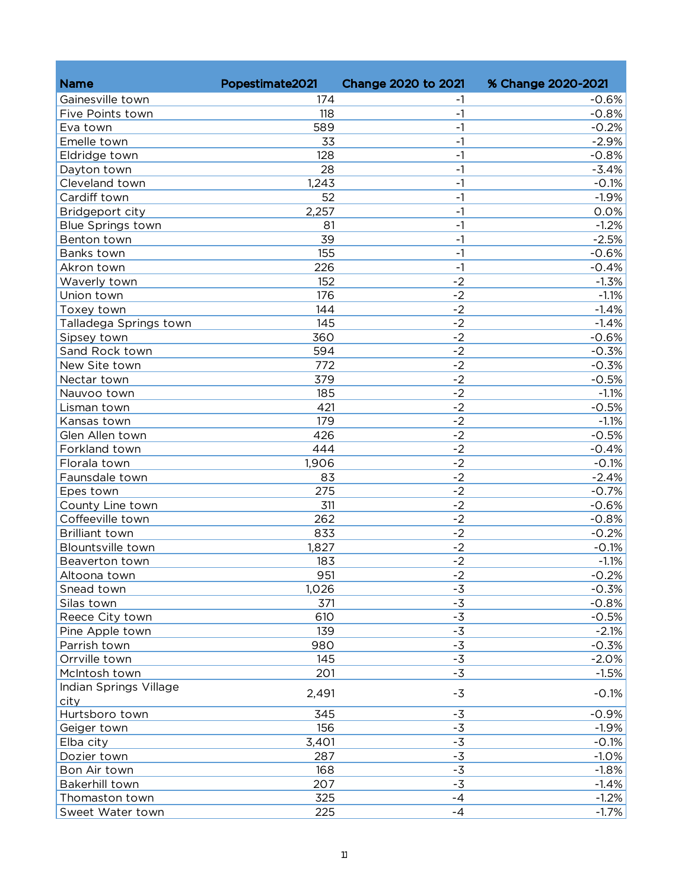| <b>Name</b>              | Popestimate2021 | Change 2020 to 2021 | % Change 2020-2021 |
|--------------------------|-----------------|---------------------|--------------------|
| Gainesville town         | 174             | -1                  | $-0.6%$            |
| Five Points town         | 118             | $-1$                | $-0.8%$            |
| Eva town                 | 589             | $-1$                | $-0.2%$            |
| Emelle town              | 33              | $-1$                | $-2.9%$            |
| Eldridge town            | 128             | $-1$                | $-0.8%$            |
| Dayton town              | 28              | $-1$                | $-3.4%$            |
| Cleveland town           | 1,243           | $-1$                | $-0.1%$            |
| Cardiff town             | 52              | $-1$                | $-1.9%$            |
| Bridgeport city          | 2,257           | $-1$                | 0.0%               |
| <b>Blue Springs town</b> | 81              | $-1$                | $-1.2%$            |
| Benton town              | 39              | $-1$                | $-2.5%$            |
| Banks town               | 155             | $-1$                | $-0.6%$            |
| Akron town               | 226             | $-1$                | $-0.4%$            |
| Waverly town             | 152             | $-2$                | $-1.3%$            |
| Union town               | 176             | $-2$                | $-1.1%$            |
| Toxey town               | 144             | $-2$                | $-1.4%$            |
| Talladega Springs town   | 145             | $-2$                | $-1.4%$            |
| Sipsey town              | 360             | $-2$                | $-0.6%$            |
| Sand Rock town           | 594             | $-2$                | $-0.3%$            |
| New Site town            | 772             | $-2$                | $-0.3%$            |
| Nectar town              | 379             | $-2$                | $-0.5%$            |
| Nauvoo town              | 185             | $-2$                | $-1.1%$            |
| Lisman town              | 421             | $-2$                | $-0.5%$            |
| Kansas town              | 179             | $-2$                | $-1.1%$            |
| Glen Allen town          | 426             | $-2$                | $-0.5%$            |
| Forkland town            | 444             | $-2$                | $-0.4%$            |
| Florala town             | 1,906           | $-2$                | $-0.1%$            |
| Faunsdale town           | 83              | $-2$                | $-2.4%$            |
| Epes town                | 275             | $-2$                | $-0.7%$            |
| County Line town         | 311             | $-2$                | $-0.6%$            |
| Coffeeville town         | 262             | $-2$                | $-0.8%$            |
| <b>Brilliant town</b>    | 833             | $-2$                | $-0.2%$            |
| Blountsville town        | 1,827           | $-2$                | $-0.1%$            |
| Beaverton town           | 183             | $-2$                | $-1.1%$            |
| Altoona town             | 951             | $-2$                | $-0.2%$            |
| Snead town               | 1,026           | $-3$                | $-0.3%$            |
| Silas town               | 371             | $-3$                | $-0.8%$            |
| Reece City town          | 610             | $-3$                | $-0.5%$            |
| Pine Apple town          | 139             | $-3$                | $-2.1%$            |
| Parrish town             | 980             | $-3$                | $-0.3%$            |
| Orrville town            | 145             | $-3$                | $-2.0%$            |
| McIntosh town            | 201             | $-3$                | $-1.5%$            |
| Indian Springs Village   |                 |                     |                    |
| city                     | 2,491           | $-3$                | $-0.1%$            |
| Hurtsboro town           | 345             | $-3$                | $-0.9%$            |
| Geiger town              | 156             | $-3$                | $-1.9%$            |
| Elba city                | 3,401           | $-3$                | $-0.1%$            |
| Dozier town              | 287             | $-\overline{3}$     | $-1.0%$            |
| Bon Air town             | 168             | $-\overline{3}$     | $-1.8%$            |
| Bakerhill town           | 207             | $-3$                | $-1.4%$            |
| Thomaston town           | 325             | $-4$                | $-1.2%$            |
| Sweet Water town         | 225             | $-4$                | $-1.7%$            |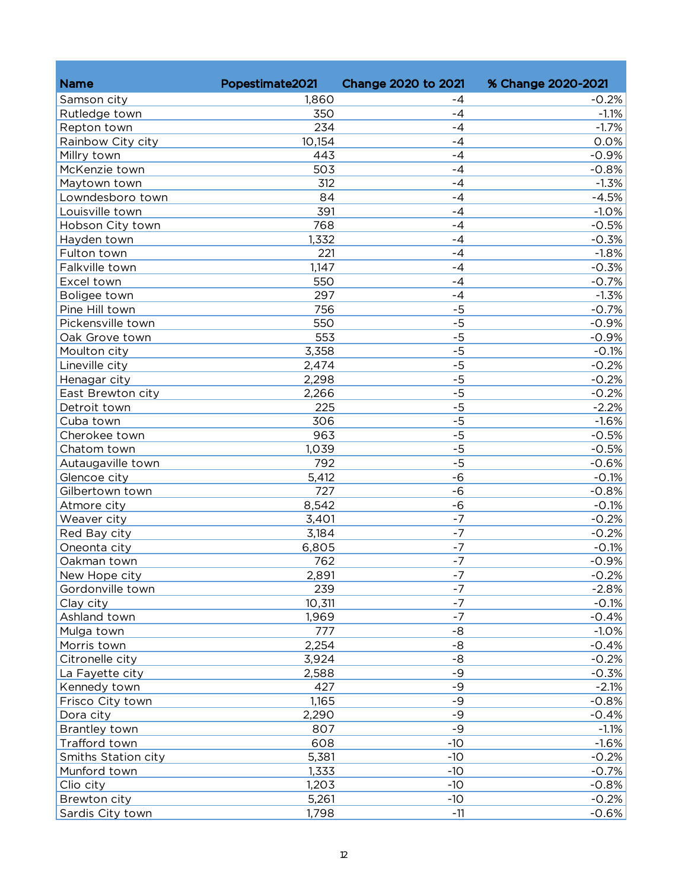| <b>Name</b>         | Popestimate2021 | Change 2020 to 2021 | % Change 2020-2021 |
|---------------------|-----------------|---------------------|--------------------|
| Samson city         | 1,860           | -4                  | $-0.2%$            |
| Rutledge town       | 350             | $-4$                | $-1.1%$            |
| Repton town         | 234             | $-4$                | $-1.7%$            |
| Rainbow City city   | 10,154          | $-4$                | 0.0%               |
| Millry town         | 443             | $-4$                | $-0.9%$            |
| McKenzie town       | 503             | $-4$                | $-0.8%$            |
| Maytown town        | 312             | -4                  | $-1.3%$            |
| Lowndesboro town    | 84              | $-4$                | $-4.5%$            |
| Louisville town     | 391             | $-4$                | $-1.0%$            |
| Hobson City town    | 768             | -4                  | $-0.5%$            |
| Hayden town         | 1,332           | $-4$                | $-0.3%$            |
| Fulton town         | 221             | $-4$                | $-1.8%$            |
| Falkville town      | 1,147           | $-4$                | $-0.3%$            |
| Excel town          | 550             | $-4$                | $-0.7%$            |
| Boligee town        | 297             | $-4$                | $-1.3%$            |
| Pine Hill town      | 756             | $-5$                | $-0.7%$            |
| Pickensville town   | 550             | $-5$                | $-0.9%$            |
| Oak Grove town      | 553             | $-5$                | $-0.9%$            |
| Moulton city        | 3,358           | $-5$                | $-0.1%$            |
| Lineville city      | 2,474           | $-\frac{1}{5}$      | $-0.2%$            |
| Henagar city        | 2,298           | $-5$                | $-0.2%$            |
| East Brewton city   | 2,266           | $-5$                | $-0.2%$            |
| Detroit town        | 225             | $-5$                | $-2.2%$            |
| Cuba town           | 306             | $-5$                | $-1.6%$            |
| Cherokee town       | 963             | $-5$                | $-0.5%$            |
| Chatom town         | 1,039           | $-5$                | $-0.5%$            |
| Autaugaville town   | 792             | $-5$                | $-0.6%$            |
| Glencoe city        | 5,412           | $-6$                | $-0.1%$            |
| Gilbertown town     | 727             | $-6$                | $-0.8%$            |
| Atmore city         | 8,542           | $-6$                | $-0.1%$            |
| Weaver city         | 3,401           | $-7$                | $-0.2%$            |
| Red Bay city        | 3,184           | $-7$                | $-0.2%$            |
| Oneonta city        | 6,805           | $-7$                | $-0.1%$            |
| Oakman town         | 762             | $-7$                | $-0.9%$            |
| New Hope city       | 2,891           | $-7$                | $-0.2%$            |
| Gordonville town    | 239             | $-7$                | $-2.8%$            |
| Clay city           | 10,311          | $-7$                | $-0.1%$            |
| Ashland town        | 1,969           | $-7$                | $-0.4%$            |
| Mulga town          | 777             | $-8$                | $-1.0%$            |
| Morris town         | 2,254           | $-8$                | $-0.4%$            |
| Citronelle city     | 3,924           | -8                  | $-0.2%$            |
| La Fayette city     | 2,588           | $-9$                | $-0.3%$            |
| Kennedy town        | 427             | $-9$                | $-2.1%$            |
| Frisco City town    | 1,165           | $-9$                | $-0.8%$            |
| Dora city           | 2,290           | $-9$                | $-0.4%$            |
| Brantley town       | 807             | $-9$                | $-1.1%$            |
| Trafford town       | 608             | $-10$               | $-1.6%$            |
| Smiths Station city | 5,381           | $-10$               | $-0.2%$            |
| Munford town        | 1,333           | $-10$               | $-0.7%$            |
| Clio city           | 1,203           | $-10$               | $-0.8%$            |
| Brewton city        | 5,261           | $-10$               | $-0.2%$            |
| Sardis City town    | 1,798           | $-11$               | $-0.6%$            |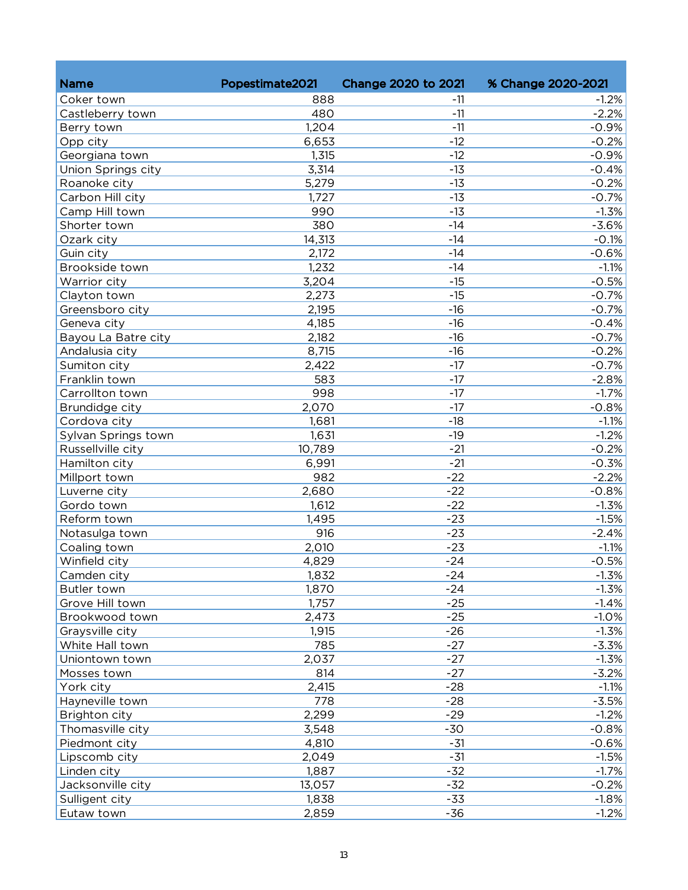| <b>Name</b>                    | Popestimate2021 | <b>Change 2020 to 2021</b> | % Change 2020-2021 |
|--------------------------------|-----------------|----------------------------|--------------------|
| Coker town                     | 888             |                            |                    |
|                                | 480             | $-11$<br>$-11$             | $-1.2%$<br>$-2.2%$ |
| Castleberry town<br>Berry town | 1,204           | $-11$                      |                    |
|                                |                 | $-12$                      | $-0.9%$            |
| Opp city                       | 6,653           | $-12$                      | $-0.2%$            |
| Georgiana town                 | 1,315           |                            | $-0.9%$            |
| Union Springs city             | 3,314           | $-13$                      | $-0.4%$            |
| Roanoke city                   | 5,279           | $-13$                      | $-0.2%$            |
| Carbon Hill city               | 1,727           | $-13$                      | $-0.7%$            |
| Camp Hill town                 | 990             | $-13$                      | $-1.3%$            |
| Shorter town                   | 380             | $-14$                      | $-3.6%$            |
| Ozark city                     | 14,313          | $-14$                      | $-0.1%$            |
| Guin city                      | 2,172           | $-14$                      | $-0.6%$            |
| Brookside town                 | 1,232           | $-14$                      | $-1.1%$            |
| Warrior city                   | 3,204           | $-15$                      | $-0.5%$            |
| Clayton town                   | 2,273           | $-15$                      | $-0.7%$            |
| Greensboro city                | 2,195           | $-16$                      | $-0.7%$            |
| Geneva city                    | 4,185           | $-16$                      | $-0.4%$            |
| Bayou La Batre city            | 2,182           | $-16$                      | $-0.7%$            |
| Andalusia city                 | 8,715           | $-16$                      | $-0.2%$            |
| Sumiton city                   | 2,422           | $-17$                      | $-0.7%$            |
| Franklin town                  | 583             | $-17$                      | $-2.8%$            |
| Carrollton town                | 998             | $-17$                      | $-1.7%$            |
| Brundidge city                 | 2,070           | $-17$                      | $-0.8%$            |
| Cordova city                   | 1,681           | $-18$                      | $-1.1%$            |
| Sylvan Springs town            | 1,631           | $-19$                      | $-1.2%$            |
| Russellville city              | 10,789          | $-21$                      | $-0.2%$            |
| Hamilton city                  | 6,991           | $-21$                      | $-0.3%$            |
| Millport town                  | 982             | $-22$                      | $-2.2%$            |
| Luverne city                   | 2,680           | $-22$                      | $-0.8%$            |
| Gordo town                     | 1,612           | $-22$                      | $-1.3%$            |
| Reform town                    | 1,495           | $-23$                      | $-1.5%$            |
| Notasulga town                 | 916             | $-23$                      | $-2.4%$            |
| Coaling town                   | 2,010           | $-23$                      | $-1.1%$            |
| Winfield city                  | 4,829           | $-24$                      | $-0.5%$            |
| Camden city                    | 1,832           | -24                        | $-1.3%$            |
| Butler town                    | 1,870           | $-24$                      | $-1.3%$            |
| Grove Hill town                | 1,757           | $-25$                      | $-1.4%$            |
| Brookwood town                 | 2,473           | $-25$                      | $-1.0%$            |
| Graysville city                | 1,915           | $-26$                      | $-1.3%$            |
| White Hall town                | 785             | $-27$                      | $-3.3%$            |
| Uniontown town                 | 2,037           | $-27$                      | $-1.3%$            |
| Mosses town                    | 814             | $-27$                      | $-3.2%$            |
| York city                      | 2,415           | $-28$                      | $-1.1%$            |
| Hayneville town                | 778             | $-28$                      | $-3.5%$            |
| Brighton city                  | 2,299           | $-29$                      | $-1.2%$            |
| Thomasville city               | 3,548           | $-30$                      | $-0.8%$            |
| Piedmont city                  | 4,810           | $-31$                      | $-0.6%$            |
| Lipscomb city                  | 2,049           | $-31$                      | $-1.5%$            |
| Linden city                    | 1,887           | $-32$                      | $-1.7%$            |
| Jacksonville city              | 13,057          | $-32$                      | $-0.2%$            |
| Sulligent city                 | 1,838           | $-33$                      | $-1.8%$            |
| Eutaw town                     | 2,859           | $-36$                      | $-1.2%$            |